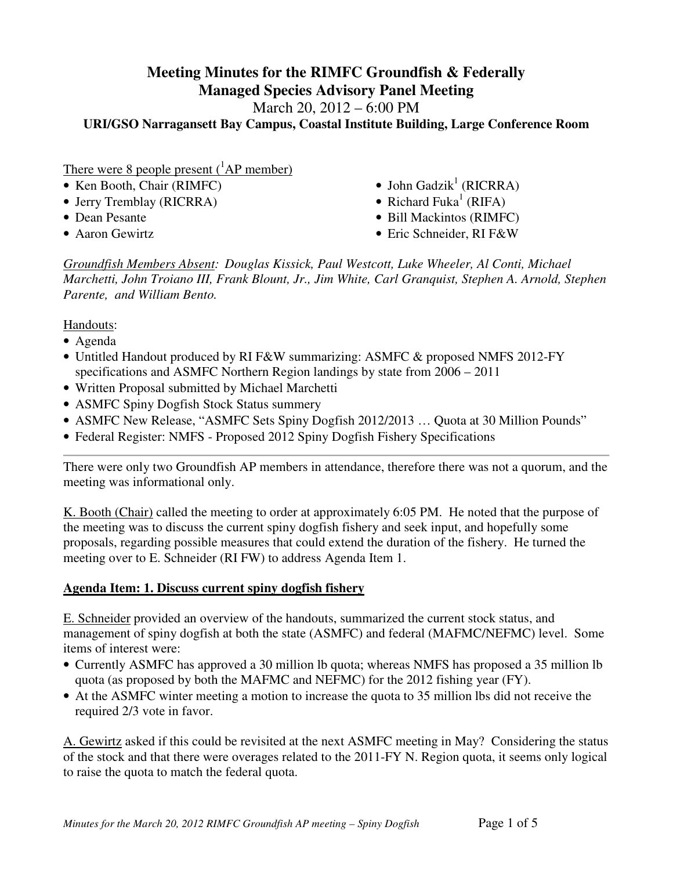# **Meeting Minutes for the RIMFC Groundfish & Federally Managed Species Advisory Panel Meeting**

March 20, 2012 – 6:00 PM

**URI/GSO Narragansett Bay Campus, Coastal Institute Building, Large Conference Room** 

### There were 8 people present  $(^1AP$  member)

- Ken Booth, Chair (RIMFC)
- Jerry Tremblay (RICRRA)
- 
- 
- $\bullet$  John Gadzik<sup>1</sup> (RICRRA)
- Richard Fuka<sup>1</sup> (RIFA)
- Dean Pesante Bill Mackintos (RIMFC)
- Aaron Gewirtz Eric Schneider, RI F&W

*Groundfish Members Absent: Douglas Kissick, Paul Westcott, Luke Wheeler, Al Conti, Michael Marchetti, John Troiano III, Frank Blount, Jr., Jim White, Carl Granquist, Stephen A. Arnold, Stephen Parente, and William Bento.* 

Handouts:

- Agenda
- Untitled Handout produced by RI F&W summarizing: ASMFC & proposed NMFS 2012-FY specifications and ASMFC Northern Region landings by state from 2006 – 2011
- Written Proposal submitted by Michael Marchetti
- ASMFC Spiny Dogfish Stock Status summery
- ASMFC New Release, "ASMFC Sets Spiny Dogfish 2012/2013 ... Quota at 30 Million Pounds"
- Federal Register: NMFS Proposed 2012 Spiny Dogfish Fishery Specifications

There were only two Groundfish AP members in attendance, therefore there was not a quorum, and the meeting was informational only.

K. Booth (Chair) called the meeting to order at approximately 6:05 PM. He noted that the purpose of the meeting was to discuss the current spiny dogfish fishery and seek input, and hopefully some proposals, regarding possible measures that could extend the duration of the fishery. He turned the meeting over to E. Schneider (RI FW) to address Agenda Item 1.

#### **Agenda Item: 1. Discuss current spiny dogfish fishery**

E. Schneider provided an overview of the handouts, summarized the current stock status, and management of spiny dogfish at both the state (ASMFC) and federal (MAFMC/NEFMC) level. Some items of interest were:

- Currently ASMFC has approved a 30 million lb quota; whereas NMFS has proposed a 35 million lb quota (as proposed by both the MAFMC and NEFMC) for the 2012 fishing year (FY).
- At the ASMFC winter meeting a motion to increase the quota to 35 million lbs did not receive the required 2/3 vote in favor.

A. Gewirtz asked if this could be revisited at the next ASMFC meeting in May? Considering the status of the stock and that there were overages related to the 2011-FY N. Region quota, it seems only logical to raise the quota to match the federal quota.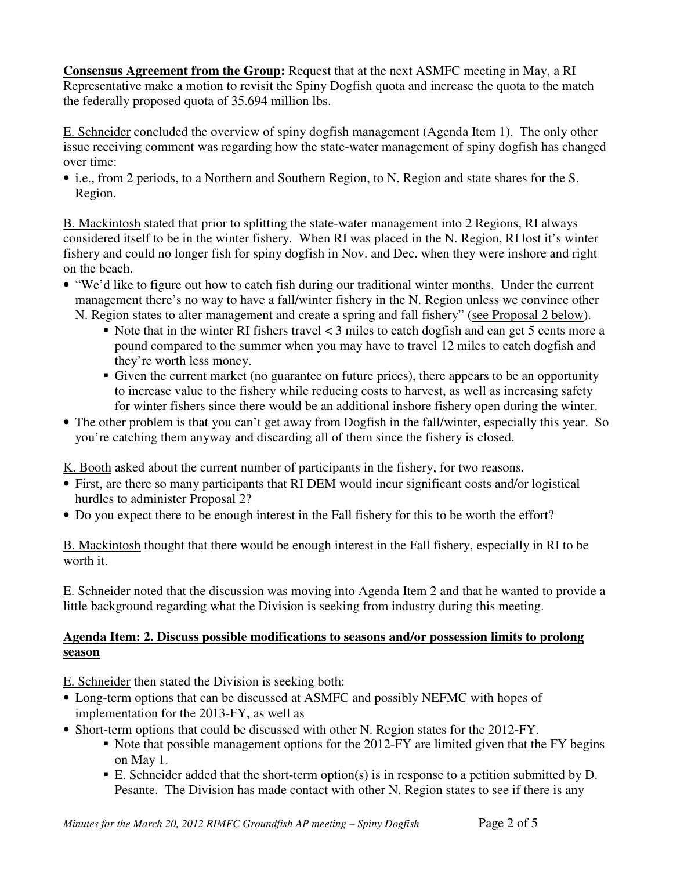**Consensus Agreement from the Group:** Request that at the next ASMFC meeting in May, a RI Representative make a motion to revisit the Spiny Dogfish quota and increase the quota to the match the federally proposed quota of 35.694 million lbs.

E. Schneider concluded the overview of spiny dogfish management (Agenda Item 1). The only other issue receiving comment was regarding how the state-water management of spiny dogfish has changed over time:

• i.e., from 2 periods, to a Northern and Southern Region, to N. Region and state shares for the S. Region.

B. Mackintosh stated that prior to splitting the state-water management into 2 Regions, RI always considered itself to be in the winter fishery. When RI was placed in the N. Region, RI lost it's winter fishery and could no longer fish for spiny dogfish in Nov. and Dec. when they were inshore and right on the beach.

- "We'd like to figure out how to catch fish during our traditional winter months. Under the current management there's no way to have a fall/winter fishery in the N. Region unless we convince other
	- N. Region states to alter management and create a spring and fall fishery" (see Proposal 2 below).
		- Note that in the winter RI fishers travel  $<$  3 miles to catch dogfish and can get 5 cents more a pound compared to the summer when you may have to travel 12 miles to catch dogfish and they're worth less money.
		- Given the current market (no guarantee on future prices), there appears to be an opportunity to increase value to the fishery while reducing costs to harvest, as well as increasing safety for winter fishers since there would be an additional inshore fishery open during the winter.
- The other problem is that you can't get away from Dogfish in the fall/winter, especially this year. So you're catching them anyway and discarding all of them since the fishery is closed.

K. Booth asked about the current number of participants in the fishery, for two reasons.

- First, are there so many participants that RI DEM would incur significant costs and/or logistical hurdles to administer Proposal 2?
- Do you expect there to be enough interest in the Fall fishery for this to be worth the effort?

B. Mackintosh thought that there would be enough interest in the Fall fishery, especially in RI to be worth it.

E. Schneider noted that the discussion was moving into Agenda Item 2 and that he wanted to provide a little background regarding what the Division is seeking from industry during this meeting.

## **Agenda Item: 2. Discuss possible modifications to seasons and/or possession limits to prolong season**

E. Schneider then stated the Division is seeking both:

- Long-term options that can be discussed at ASMFC and possibly NEFMC with hopes of implementation for the 2013-FY, as well as
- Short-term options that could be discussed with other N. Region states for the 2012-FY.
	- Note that possible management options for the 2012-FY are limited given that the FY begins on May 1.
	- E. Schneider added that the short-term option(s) is in response to a petition submitted by  $D$ . Pesante. The Division has made contact with other N. Region states to see if there is any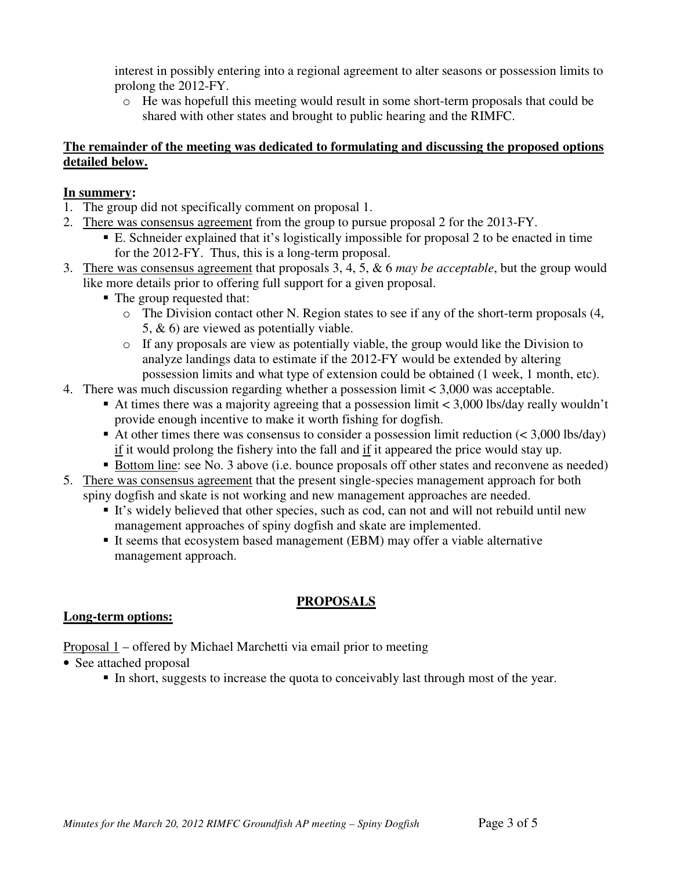interest in possibly entering into a regional agreement to alter seasons or possession limits to prolong the 2012-FY.

o He was hopefull this meeting would result in some short-term proposals that could be shared with other states and brought to public hearing and the RIMFC.

#### **The remainder of the meeting was dedicated to formulating and discussing the proposed options detailed below.**

#### **In summery:**

- 1. The group did not specifically comment on proposal 1.
- 2. There was consensus agreement from the group to pursue proposal 2 for the 2013-FY.
	- E. Schneider explained that it's logistically impossible for proposal 2 to be enacted in time for the 2012-FY. Thus, this is a long-term proposal.
- 3. There was consensus agreement that proposals 3, 4, 5, & 6 *may be acceptable*, but the group would like more details prior to offering full support for a given proposal.
	- The group requested that:
		- o The Division contact other N. Region states to see if any of the short-term proposals (4, 5, & 6) are viewed as potentially viable.
		- o If any proposals are view as potentially viable, the group would like the Division to analyze landings data to estimate if the 2012-FY would be extended by altering possession limits and what type of extension could be obtained (1 week, 1 month, etc).
- 4. There was much discussion regarding whether a possession limit < 3,000 was acceptable.
	- At times there was a majority agreeing that a possession limit  $\langle 3,000 \rangle$  lbs/day really wouldn't provide enough incentive to make it worth fishing for dogfish.
	- At other times there was consensus to consider a possession limit reduction  $(< 3,000$  lbs/day) if it would prolong the fishery into the fall and if it appeared the price would stay up.
- Bottom line: see No. 3 above (i.e. bounce proposals off other states and reconvene as needed) 5. There was consensus agreement that the present single-species management approach for both
- spiny dogfish and skate is not working and new management approaches are needed.
	- It's widely believed that other species, such as cod, can not and will not rebuild until new management approaches of spiny dogfish and skate are implemented.
	- It seems that ecosystem based management (EBM) may offer a viable alternative management approach.

# **PROPOSALS**

#### **Long-term options:**

Proposal 1 – offered by Michael Marchetti via email prior to meeting

- See attached proposal
	- In short, suggests to increase the quota to conceivably last through most of the year.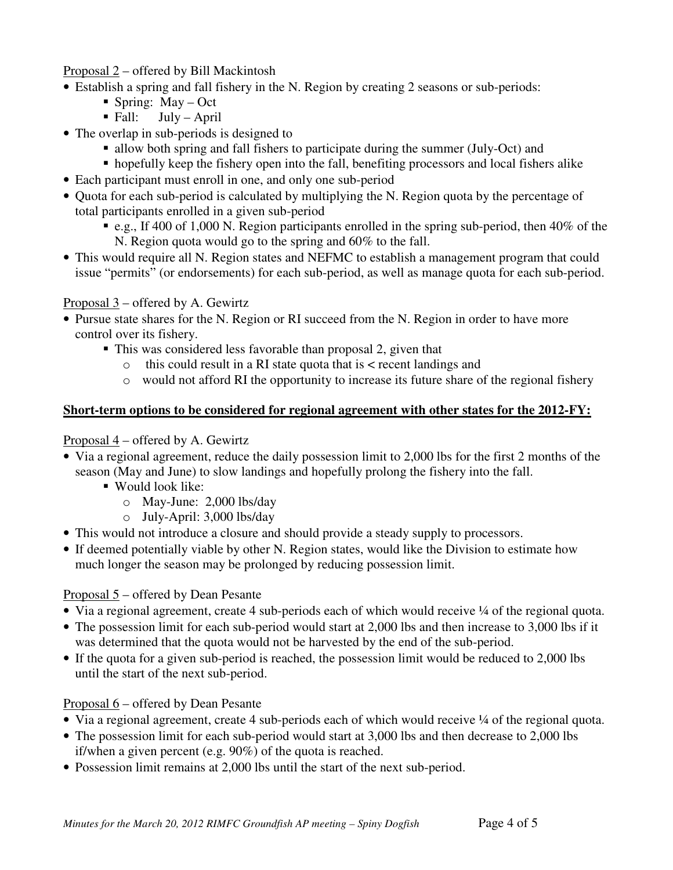#### Proposal 2 – offered by Bill Mackintosh

- Establish a spring and fall fishery in the N. Region by creating 2 seasons or sub-periods:
	- Spring:  $May Oct$ 
		- $\blacksquare$  Fall: July April
- The overlap in sub-periods is designed to
	- allow both spring and fall fishers to participate during the summer (July-Oct) and
	- hopefully keep the fishery open into the fall, benefiting processors and local fishers alike
- Each participant must enroll in one, and only one sub-period
- Quota for each sub-period is calculated by multiplying the N. Region quota by the percentage of total participants enrolled in a given sub-period
	- e.g., If 400 of 1,000 N. Region participants enrolled in the spring sub-period, then  $40\%$  of the N. Region quota would go to the spring and 60% to the fall.
- This would require all N. Region states and NEFMC to establish a management program that could issue "permits" (or endorsements) for each sub-period, as well as manage quota for each sub-period.

## Proposal 3 – offered by A. Gewirtz

- Pursue state shares for the N. Region or RI succeed from the N. Region in order to have more control over its fishery.
	- This was considered less favorable than proposal 2, given that
		- $\circ$  this could result in a RI state quota that is  $\lt$  recent landings and
		- o would not afford RI the opportunity to increase its future share of the regional fishery

## **Short-term options to be considered for regional agreement with other states for the 2012-FY:**

## Proposal 4 – offered by A. Gewirtz

- Via a regional agreement, reduce the daily possession limit to 2,000 lbs for the first 2 months of the season (May and June) to slow landings and hopefully prolong the fishery into the fall.
	- Would look like:
		- o May-June: 2,000 lbs/day
		- o July-April: 3,000 lbs/day
- This would not introduce a closure and should provide a steady supply to processors.
- If deemed potentially viable by other N. Region states, would like the Division to estimate how much longer the season may be prolonged by reducing possession limit.

## Proposal 5 – offered by Dean Pesante

- Via a regional agreement, create 4 sub-periods each of which would receive ¼ of the regional quota.
- The possession limit for each sub-period would start at 2,000 lbs and then increase to 3,000 lbs if it was determined that the quota would not be harvested by the end of the sub-period.
- If the quota for a given sub-period is reached, the possession limit would be reduced to 2,000 lbs until the start of the next sub-period.

# Proposal 6 – offered by Dean Pesante

- Via a regional agreement, create 4 sub-periods each of which would receive ¼ of the regional quota.
- The possession limit for each sub-period would start at 3,000 lbs and then decrease to 2,000 lbs if/when a given percent (e.g. 90%) of the quota is reached.
- Possession limit remains at 2,000 lbs until the start of the next sub-period.